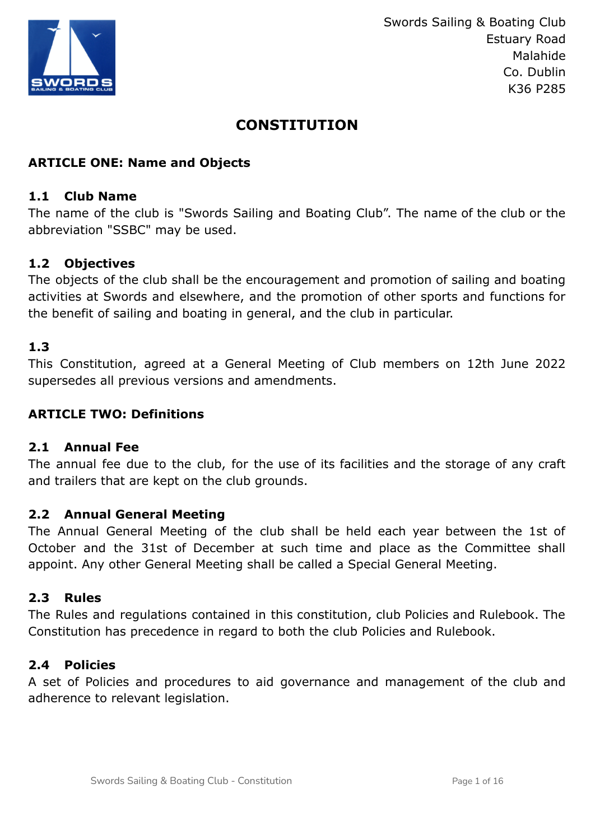

# **CONSTITUTION**

# **ARTICLE ONE: Name and Objects**

#### **1.1 Club Name**

The name of the club is "Swords Sailing and Boating Club". The name of the club or the abbreviation "SSBC" may be used.

#### **1.2 Objectives**

The objects of the club shall be the encouragement and promotion of sailing and boating activities at Swords and elsewhere, and the promotion of other sports and functions for the benefit of sailing and boating in general, and the club in particular.

# **1.3**

This Constitution, agreed at a General Meeting of Club members on 12th June 2022 supersedes all previous versions and amendments.

#### **ARTICLE TWO: Definitions**

#### **2.1 Annual Fee**

The annual fee due to the club, for the use of its facilities and the storage of any craft and trailers that are kept on the club grounds.

#### **2.2 Annual General Meeting**

The Annual General Meeting of the club shall be held each year between the 1st of October and the 31st of December at such time and place as the Committee shall appoint. Any other General Meeting shall be called a Special General Meeting.

#### **2.3 Rules**

The Rules and regulations contained in this constitution, club Policies and Rulebook. The Constitution has precedence in regard to both the club Policies and Rulebook.

#### **2.4 Policies**

A set of Policies and procedures to aid governance and management of the club and adherence to relevant legislation.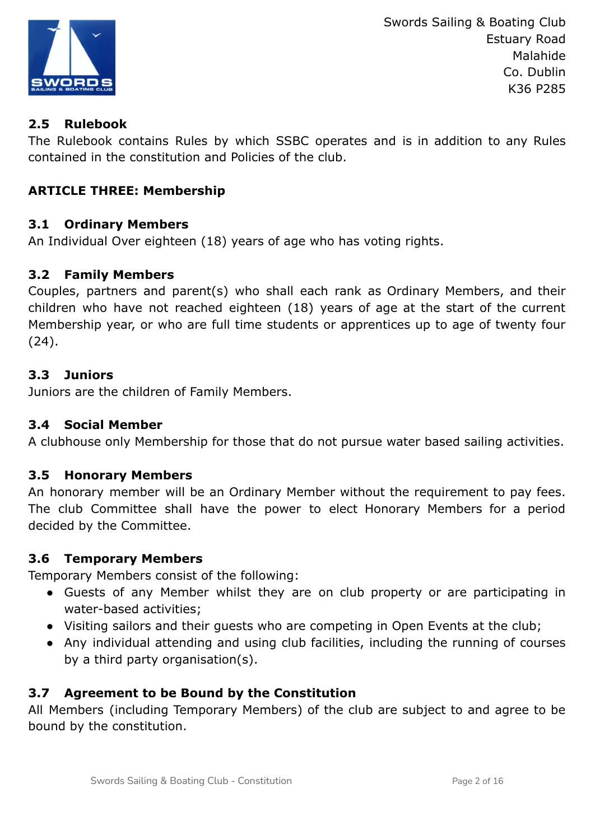

# **2.5 Rulebook**

The Rulebook contains Rules by which SSBC operates and is in addition to any Rules contained in the constitution and Policies of the club.

# **ARTICLE THREE: Membership**

# **3.1 Ordinary Members**

An Individual Over eighteen (18) years of age who has voting rights.

# **3.2 Family Members**

Couples, partners and parent(s) who shall each rank as Ordinary Members, and their children who have not reached eighteen (18) years of age at the start of the current Membership year, or who are full time students or apprentices up to age of twenty four (24).

# **3.3 Juniors**

Juniors are the children of Family Members.

#### **3.4 Social Member**

A clubhouse only Membership for those that do not pursue water based sailing activities.

#### **3.5 Honorary Members**

An honorary member will be an Ordinary Member without the requirement to pay fees. The club Committee shall have the power to elect Honorary Members for a period decided by the Committee.

#### **3.6 Temporary Members**

Temporary Members consist of the following:

- Guests of any Member whilst they are on club property or are participating in water-based activities;
- Visiting sailors and their guests who are competing in Open Events at the club;
- Any individual attending and using club facilities, including the running of courses by a third party organisation(s).

# **3.7 Agreement to be Bound by the Constitution**

All Members (including Temporary Members) of the club are subject to and agree to be bound by the constitution.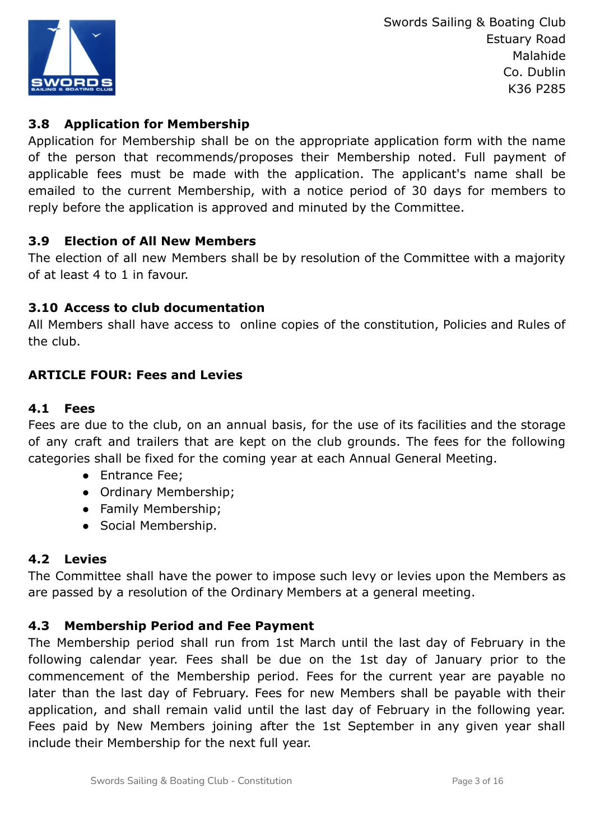

# **3.8 Application for Membership**

Application for Membership shall be on the appropriate application form with the name of the person that recommends/proposes their Membership noted. Full payment of applicable fees must be made with the application. The applicant's name shall be emailed to the current Membership, with a notice period of 30 days for members to reply before the application is approved and minuted by the Committee.

# **3.9 Election of All New Members**

The election of all new Members shall be by resolution of the Committee with a majority of at least 4 to 1 in favour.

# **3.10 Access to club documentation**

All Members shall have access to online copies of the constitution, Policies and Rules of the club.

# **ARTICLE FOUR: Fees and Levies**

# **4.1 Fees**

Fees are due to the club, on an annual basis, for the use of its facilities and the storage of any craft and trailers that are kept on the club grounds. The fees for the following categories shall be fixed for the coming year at each Annual General Meeting.

- Entrance Fee;
- Ordinary Membership;
- Family Membership;
- Social Membership.

# **4.2 Levies**

The Committee shall have the power to impose such levy or levies upon the Members as are passed by a resolution of the Ordinary Members at a general meeting.

# **4.3 Membership Period and Fee Payment**

The Membership period shall run from 1st March until the last day of February in the following calendar year. Fees shall be due on the 1st day of January prior to the commencement of the Membership period. Fees for the current year are payable no later than the last day of February. Fees for new Members shall be payable with their application, and shall remain valid until the last day of February in the following year. Fees paid by New Members joining after the 1st September in any given year shall include their Membership for the next full year.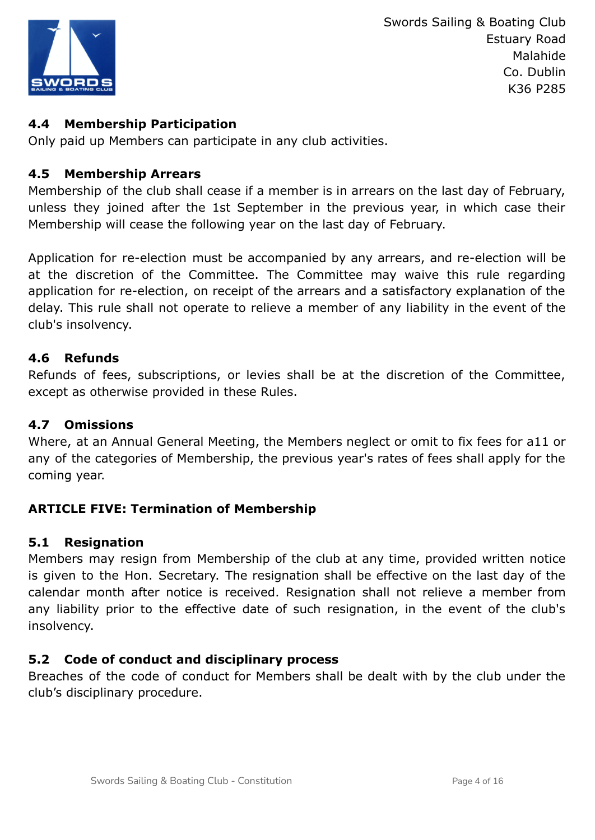

# **4.4 Membership Participation**

Only paid up Members can participate in any club activities.

#### **4.5 Membership Arrears**

Membership of the club shall cease if a member is in arrears on the last day of February, unless they joined after the 1st September in the previous year, in which case their Membership will cease the following year on the last day of February.

Application for re-election must be accompanied by any arrears, and re-election will be at the discretion of the Committee. The Committee may waive this rule regarding application for re-election, on receipt of the arrears and a satisfactory explanation of the delay. This rule shall not operate to relieve a member of any liability in the event of the club's insolvency.

# **4.6 Refunds**

Refunds of fees, subscriptions, or levies shall be at the discretion of the Committee, except as otherwise provided in these Rules.

#### **4.7 Omissions**

Where, at an Annual General Meeting, the Members neglect or omit to fix fees for a11 or any of the categories of Membership, the previous year's rates of fees shall apply for the coming year.

#### **ARTICLE FIVE: Termination of Membership**

#### **5.1 Resignation**

Members may resign from Membership of the club at any time, provided written notice is given to the Hon. Secretary. The resignation shall be effective on the last day of the calendar month after notice is received. Resignation shall not relieve a member from any liability prior to the effective date of such resignation, in the event of the club's insolvency.

# **5.2 Code of conduct and disciplinary process**

Breaches of the code of conduct for Members shall be dealt with by the club under the club's disciplinary procedure.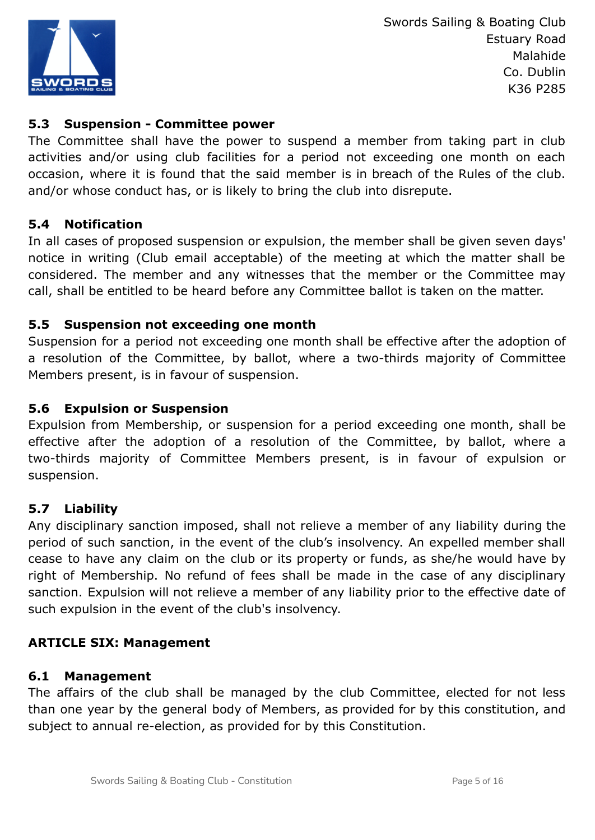

# **5.3 Suspension - Committee power**

The Committee shall have the power to suspend a member from taking part in club activities and/or using club facilities for a period not exceeding one month on each occasion, where it is found that the said member is in breach of the Rules of the club. and/or whose conduct has, or is likely to bring the club into disrepute.

#### **5.4 Notification**

In all cases of proposed suspension or expulsion, the member shall be given seven days' notice in writing (Club email acceptable) of the meeting at which the matter shall be considered. The member and any witnesses that the member or the Committee may call, shall be entitled to be heard before any Committee ballot is taken on the matter.

# **5.5 Suspension not exceeding one month**

Suspension for a period not exceeding one month shall be effective after the adoption of a resolution of the Committee, by ballot, where a two-thirds majority of Committee Members present, is in favour of suspension.

# **5.6 Expulsion or Suspension**

Expulsion from Membership, or suspension for a period exceeding one month, shall be effective after the adoption of a resolution of the Committee, by ballot, where a two-thirds majority of Committee Members present, is in favour of expulsion or suspension.

#### **5.7 Liability**

Any disciplinary sanction imposed, shall not relieve a member of any liability during the period of such sanction, in the event of the club's insolvency. An expelled member shall cease to have any claim on the club or its property or funds, as she/he would have by right of Membership. No refund of fees shall be made in the case of any disciplinary sanction. Expulsion will not relieve a member of any liability prior to the effective date of such expulsion in the event of the club's insolvency.

#### **ARTICLE SIX: Management**

#### **6.1 Management**

The affairs of the club shall be managed by the club Committee, elected for not less than one year by the general body of Members, as provided for by this constitution, and subject to annual re-election, as provided for by this Constitution.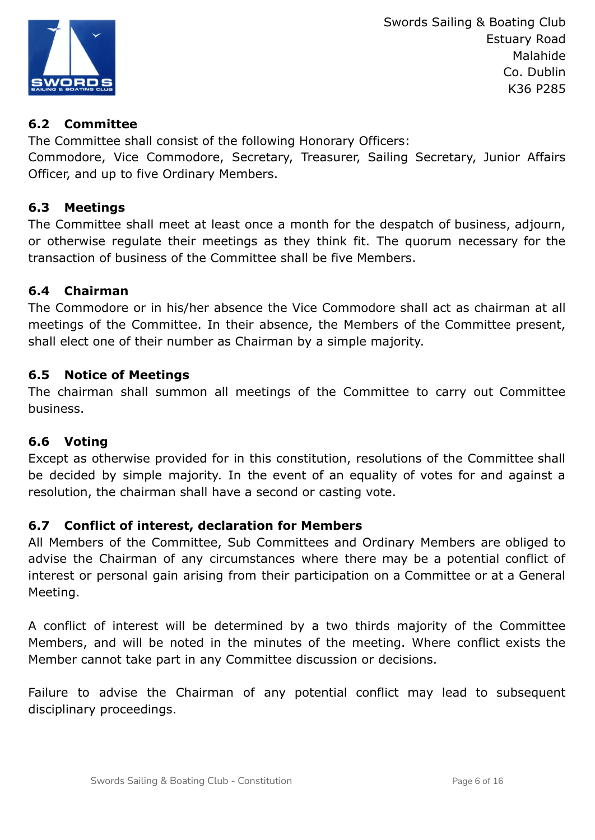

# **6.2 Committee**

The Committee shall consist of the following Honorary Officers:

Commodore, Vice Commodore, Secretary, Treasurer, Sailing Secretary, Junior Affairs Officer, and up to five Ordinary Members.

# **6.3 Meetings**

The Committee shall meet at least once a month for the despatch of business, adjourn, or otherwise regulate their meetings as they think fit. The quorum necessary for the transaction of business of the Committee shall be five Members.

# **6.4 Chairman**

The Commodore or in his/her absence the Vice Commodore shall act as chairman at all meetings of the Committee. In their absence, the Members of the Committee present, shall elect one of their number as Chairman by a simple majority.

# **6.5 Notice of Meetings**

The chairman shall summon all meetings of the Committee to carry out Committee business.

# **6.6 Voting**

Except as otherwise provided for in this constitution, resolutions of the Committee shall be decided by simple majority. In the event of an equality of votes for and against a resolution, the chairman shall have a second or casting vote.

# **6.7 Conflict of interest, declaration for Members**

All Members of the Committee, Sub Committees and Ordinary Members are obliged to advise the Chairman of any circumstances where there may be a potential conflict of interest or personal gain arising from their participation on a Committee or at a General Meeting.

A conflict of interest will be determined by a two thirds majority of the Committee Members, and will be noted in the minutes of the meeting. Where conflict exists the Member cannot take part in any Committee discussion or decisions.

Failure to advise the Chairman of any potential conflict may lead to subsequent disciplinary proceedings.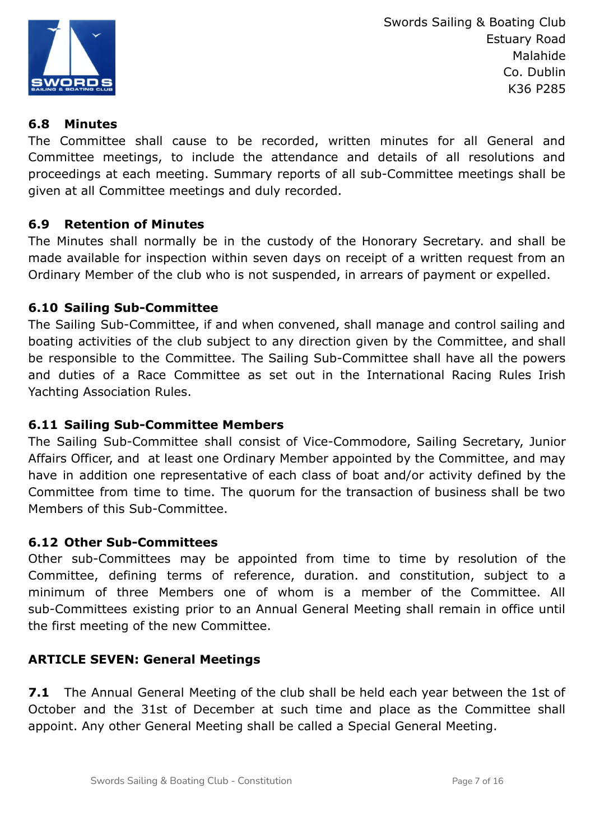

# **6.8 Minutes**

The Committee shall cause to be recorded, written minutes for all General and Committee meetings, to include the attendance and details of all resolutions and proceedings at each meeting. Summary reports of all sub-Committee meetings shall be given at all Committee meetings and duly recorded.

# **6.9 Retention of Minutes**

The Minutes shall normally be in the custody of the Honorary Secretary. and shall be made available for inspection within seven days on receipt of a written request from an Ordinary Member of the club who is not suspended, in arrears of payment or expelled.

# **6.10 Sailing Sub-Committee**

The Sailing Sub-Committee, if and when convened, shall manage and control sailing and boating activities of the club subject to any direction given by the Committee, and shall be responsible to the Committee. The Sailing Sub-Committee shall have all the powers and duties of a Race Committee as set out in the International Racing Rules Irish Yachting Association Rules.

#### **6.11 Sailing Sub-Committee Members**

The Sailing Sub-Committee shall consist of Vice-Commodore, Sailing Secretary, Junior Affairs Officer, and at least one Ordinary Member appointed by the Committee, and may have in addition one representative of each class of boat and/or activity defined by the Committee from time to time. The quorum for the transaction of business shall be two Members of this Sub-Committee.

#### **6.12 Other Sub-Committees**

Other sub-Committees may be appointed from time to time by resolution of the Committee, defining terms of reference, duration. and constitution, subject to a minimum of three Members one of whom is a member of the Committee. All sub-Committees existing prior to an Annual General Meeting shall remain in office until the first meeting of the new Committee.

# **ARTICLE SEVEN: General Meetings**

**7.1** The Annual General Meeting of the club shall be held each year between the 1st of October and the 31st of December at such time and place as the Committee shall appoint. Any other General Meeting shall be called a Special General Meeting.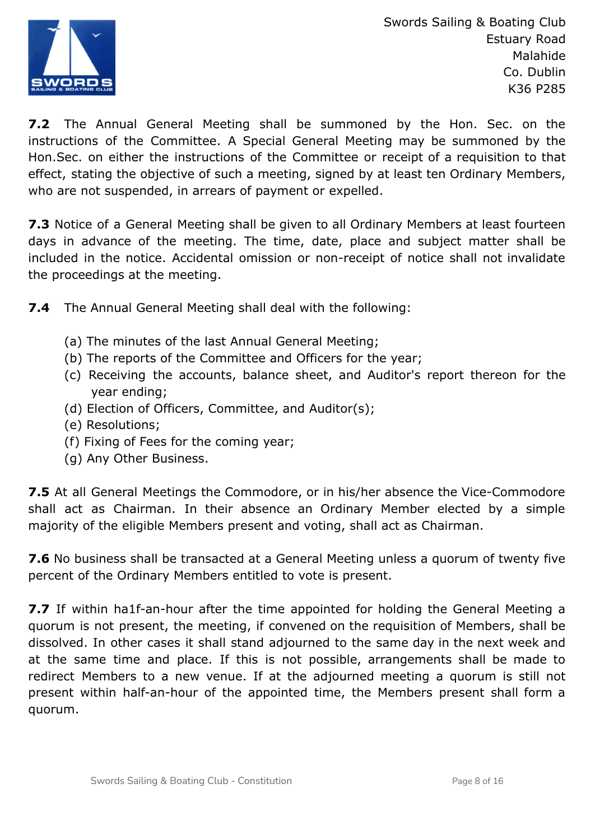

**7.2** The Annual General Meeting shall be summoned by the Hon. Sec. on the instructions of the Committee. A Special General Meeting may be summoned by the Hon.Sec. on either the instructions of the Committee or receipt of a requisition to that effect, stating the objective of such a meeting, signed by at least ten Ordinary Members, who are not suspended, in arrears of payment or expelled.

**7.3** Notice of a General Meeting shall be given to all Ordinary Members at least fourteen days in advance of the meeting. The time, date, place and subject matter shall be included in the notice. Accidental omission or non-receipt of notice shall not invalidate the proceedings at the meeting.

**7.4** The Annual General Meeting shall deal with the following:

- (a) The minutes of the last Annual General Meeting;
- (b) The reports of the Committee and Officers for the year;
- (c) Receiving the accounts, balance sheet, and Auditor's report thereon for the year ending;
- (d) Election of Officers, Committee, and Auditor(s);
- (e) Resolutions;
- (f) Fixing of Fees for the coming year;
- (g) Any Other Business.

**7.5** At all General Meetings the Commodore, or in his/her absence the Vice-Commodore shall act as Chairman. In their absence an Ordinary Member elected by a simple majority of the eligible Members present and voting, shall act as Chairman.

**7.6** No business shall be transacted at a General Meeting unless a quorum of twenty five percent of the Ordinary Members entitled to vote is present.

**7.7** If within ha1f-an-hour after the time appointed for holding the General Meeting a quorum is not present, the meeting, if convened on the requisition of Members, shall be dissolved. In other cases it shall stand adjourned to the same day in the next week and at the same time and place. If this is not possible, arrangements shall be made to redirect Members to a new venue. If at the adjourned meeting a quorum is still not present within half-an-hour of the appointed time, the Members present shall form a quorum.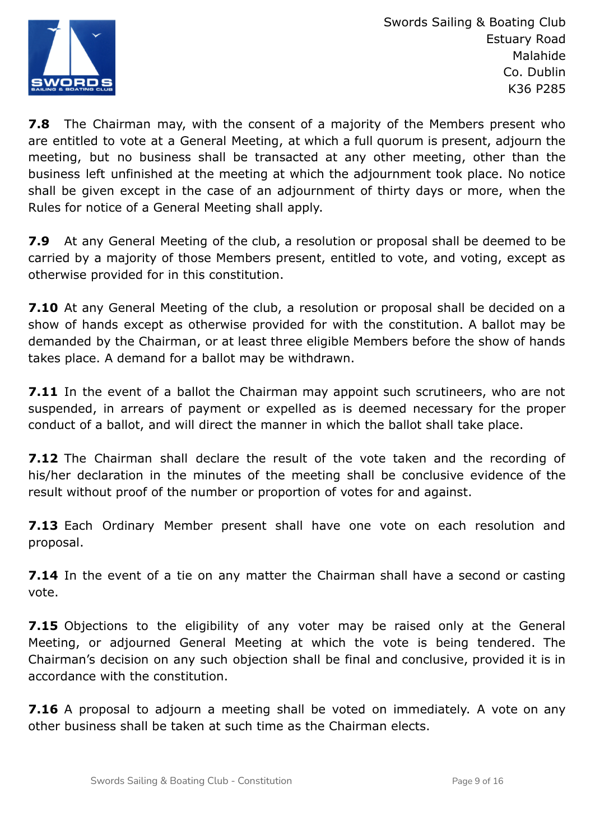

**7.8** The Chairman may, with the consent of a majority of the Members present who are entitled to vote at a General Meeting, at which a full quorum is present, adjourn the meeting, but no business shall be transacted at any other meeting, other than the business left unfinished at the meeting at which the adjournment took place. No notice shall be given except in the case of an adjournment of thirty days or more, when the Rules for notice of a General Meeting shall apply.

**7.9** At any General Meeting of the club, a resolution or proposal shall be deemed to be carried by a majority of those Members present, entitled to vote, and voting, except as otherwise provided for in this constitution.

**7.10** At any General Meeting of the club, a resolution or proposal shall be decided on a show of hands except as otherwise provided for with the constitution. A ballot may be demanded by the Chairman, or at least three eligible Members before the show of hands takes place. A demand for a ballot may be withdrawn.

**7.11** In the event of a ballot the Chairman may appoint such scrutineers, who are not suspended, in arrears of payment or expelled as is deemed necessary for the proper conduct of a ballot, and will direct the manner in which the ballot shall take place.

**7.12** The Chairman shall declare the result of the vote taken and the recording of his/her declaration in the minutes of the meeting shall be conclusive evidence of the result without proof of the number or proportion of votes for and against.

**7.13** Each Ordinary Member present shall have one vote on each resolution and proposal.

**7.14** In the event of a tie on any matter the Chairman shall have a second or casting vote.

**7.15** Objections to the eligibility of any voter may be raised only at the General Meeting, or adjourned General Meeting at which the vote is being tendered. The Chairman's decision on any such objection shall be final and conclusive, provided it is in accordance with the constitution.

**7.16** A proposal to adjourn a meeting shall be voted on immediately. A vote on any other business shall be taken at such time as the Chairman elects.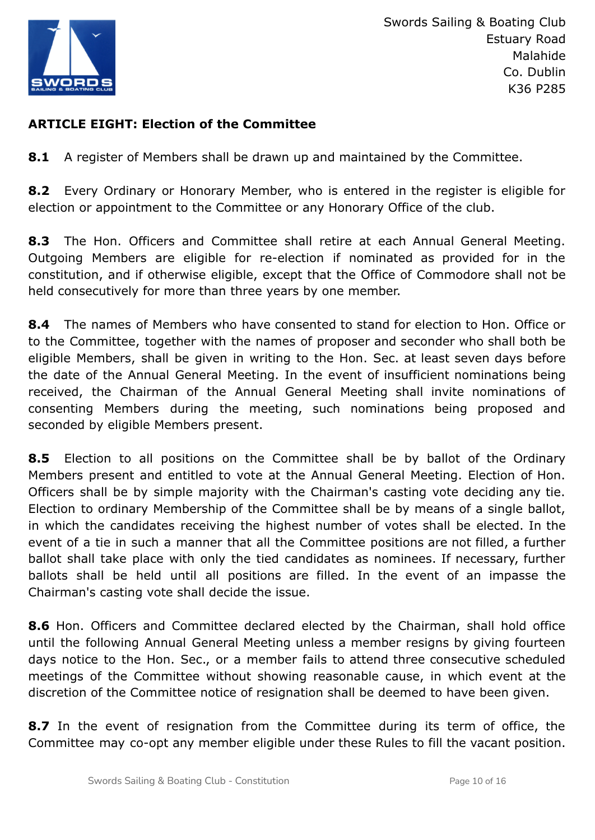

# **ARTICLE EIGHT: Election of the Committee**

**8.1** A register of Members shall be drawn up and maintained by the Committee.

**8.2** Every Ordinary or Honorary Member, who is entered in the register is eligible for election or appointment to the Committee or any Honorary Office of the club.

**8.3** The Hon. Officers and Committee shall retire at each Annual General Meeting. Outgoing Members are eligible for re-election if nominated as provided for in the constitution, and if otherwise eligible, except that the Office of Commodore shall not be held consecutively for more than three years by one member.

**8.4** The names of Members who have consented to stand for election to Hon. Office or to the Committee, together with the names of proposer and seconder who shall both be eligible Members, shall be given in writing to the Hon. Sec. at least seven days before the date of the Annual General Meeting. In the event of insufficient nominations being received, the Chairman of the Annual General Meeting shall invite nominations of consenting Members during the meeting, such nominations being proposed and seconded by eligible Members present.

**8.5** Election to all positions on the Committee shall be by ballot of the Ordinary Members present and entitled to vote at the Annual General Meeting. Election of Hon. Officers shall be by simple majority with the Chairman's casting vote deciding any tie. Election to ordinary Membership of the Committee shall be by means of a single ballot, in which the candidates receiving the highest number of votes shall be elected. In the event of a tie in such a manner that all the Committee positions are not filled, a further ballot shall take place with only the tied candidates as nominees. If necessary, further ballots shall be held until all positions are filled. In the event of an impasse the Chairman's casting vote shall decide the issue.

**8.6** Hon. Officers and Committee declared elected by the Chairman, shall hold office until the following Annual General Meeting unless a member resigns by giving fourteen days notice to the Hon. Sec., or a member fails to attend three consecutive scheduled meetings of the Committee without showing reasonable cause, in which event at the discretion of the Committee notice of resignation shall be deemed to have been given.

**8.7** In the event of resignation from the Committee during its term of office, the Committee may co-opt any member eligible under these Rules to fill the vacant position.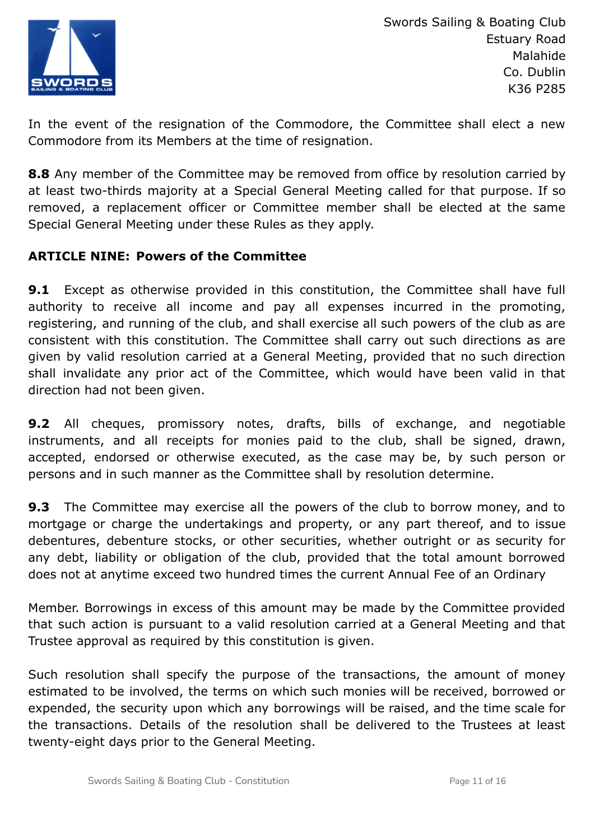

In the event of the resignation of the Commodore, the Committee shall elect a new Commodore from its Members at the time of resignation.

**8.8** Any member of the Committee may be removed from office by resolution carried by at least two-thirds majority at a Special General Meeting called for that purpose. If so removed, a replacement officer or Committee member shall be elected at the same Special General Meeting under these Rules as they apply.

# **ARTICLE NINE: Powers of the Committee**

**9.1** Except as otherwise provided in this constitution, the Committee shall have full authority to receive all income and pay all expenses incurred in the promoting, registering, and running of the club, and shall exercise all such powers of the club as are consistent with this constitution. The Committee shall carry out such directions as are given by valid resolution carried at a General Meeting, provided that no such direction shall invalidate any prior act of the Committee, which would have been valid in that direction had not been given.

**9.2** All cheques, promissory notes, drafts, bills of exchange, and negotiable instruments, and all receipts for monies paid to the club, shall be signed, drawn, accepted, endorsed or otherwise executed, as the case may be, by such person or persons and in such manner as the Committee shall by resolution determine.

**9.3** The Committee may exercise all the powers of the club to borrow money, and to mortgage or charge the undertakings and property, or any part thereof, and to issue debentures, debenture stocks, or other securities, whether outright or as security for any debt, liability or obligation of the club, provided that the total amount borrowed does not at anytime exceed two hundred times the current Annual Fee of an Ordinary

Member. Borrowings in excess of this amount may be made by the Committee provided that such action is pursuant to a valid resolution carried at a General Meeting and that Trustee approval as required by this constitution is given.

Such resolution shall specify the purpose of the transactions, the amount of money estimated to be involved, the terms on which such monies will be received, borrowed or expended, the security upon which any borrowings will be raised, and the time scale for the transactions. Details of the resolution shall be delivered to the Trustees at least twenty-eight days prior to the General Meeting.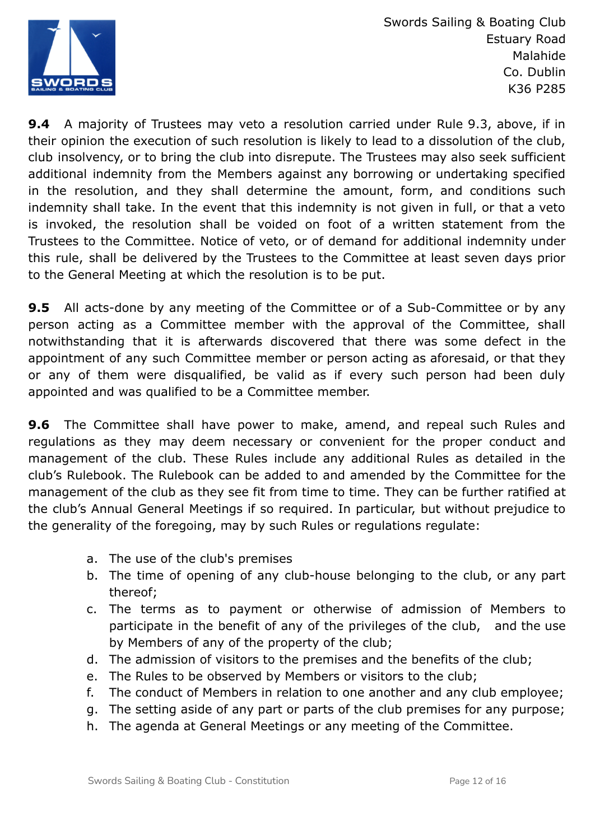

**9.4** A majority of Trustees may veto a resolution carried under Rule 9.3, above, if in their opinion the execution of such resolution is likely to lead to a dissolution of the club, club insolvency, or to bring the club into disrepute. The Trustees may also seek sufficient additional indemnity from the Members against any borrowing or undertaking specified in the resolution, and they shall determine the amount, form, and conditions such indemnity shall take. In the event that this indemnity is not given in full, or that a veto is invoked, the resolution shall be voided on foot of a written statement from the Trustees to the Committee. Notice of veto, or of demand for additional indemnity under this rule, shall be delivered by the Trustees to the Committee at least seven days prior to the General Meeting at which the resolution is to be put.

**9.5** All acts-done by any meeting of the Committee or of a Sub-Committee or by any person acting as a Committee member with the approval of the Committee, shall notwithstanding that it is afterwards discovered that there was some defect in the appointment of any such Committee member or person acting as aforesaid, or that they or any of them were disqualified, be valid as if every such person had been duly appointed and was qualified to be a Committee member.

**9.6** The Committee shall have power to make, amend, and repeal such Rules and regulations as they may deem necessary or convenient for the proper conduct and management of the club. These Rules include any additional Rules as detailed in the club's Rulebook. The Rulebook can be added to and amended by the Committee for the management of the club as they see fit from time to time. They can be further ratified at the club's Annual General Meetings if so required. In particular, but without prejudice to the generality of the foregoing, may by such Rules or regulations regulate:

- a. The use of the club's premises
- b. The time of opening of any club-house belonging to the club, or any part thereof;
- c. The terms as to payment or otherwise of admission of Members to participate in the benefit of any of the privileges of the club, and the use by Members of any of the property of the club;
- d. The admission of visitors to the premises and the benefits of the club;
- e. The Rules to be observed by Members or visitors to the club;
- f. The conduct of Members in relation to one another and any club employee;
- g. The setting aside of any part or parts of the club premises for any purpose;
- h. The agenda at General Meetings or any meeting of the Committee.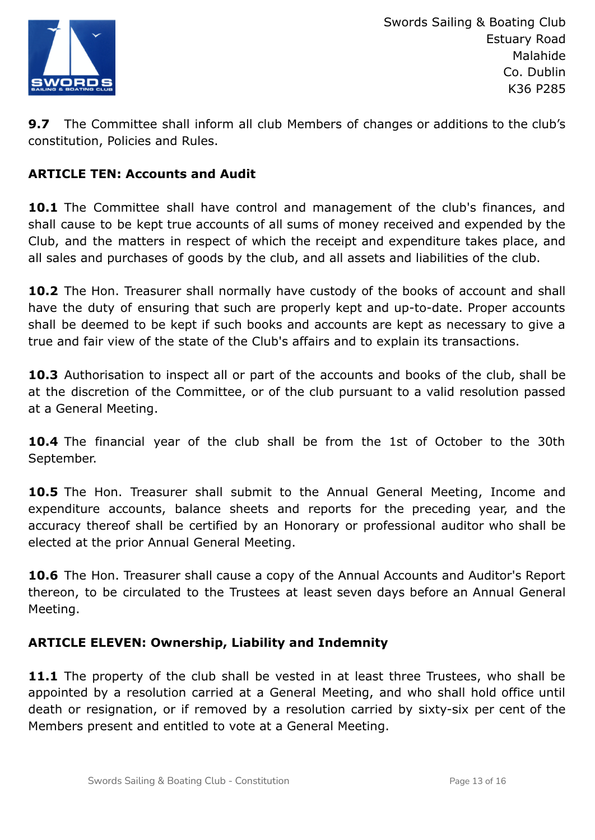

**9.7** The Committee shall inform all club Members of changes or additions to the club's constitution, Policies and Rules.

# **ARTICLE TEN: Accounts and Audit**

**10.1** The Committee shall have control and management of the club's finances, and shall cause to be kept true accounts of all sums of money received and expended by the Club, and the matters in respect of which the receipt and expenditure takes place, and all sales and purchases of goods by the club, and all assets and liabilities of the club.

10.2 The Hon. Treasurer shall normally have custody of the books of account and shall have the duty of ensuring that such are properly kept and up-to-date. Proper accounts shall be deemed to be kept if such books and accounts are kept as necessary to give a true and fair view of the state of the Club's affairs and to explain its transactions.

**10.3** Authorisation to inspect all or part of the accounts and books of the club, shall be at the discretion of the Committee, or of the club pursuant to a valid resolution passed at a General Meeting.

**10.4** The financial year of the club shall be from the 1st of October to the 30th September.

**10.5** The Hon. Treasurer shall submit to the Annual General Meeting, Income and expenditure accounts, balance sheets and reports for the preceding year, and the accuracy thereof shall be certified by an Honorary or professional auditor who shall be elected at the prior Annual General Meeting.

**10.6** The Hon. Treasurer shall cause a copy of the Annual Accounts and Auditor's Report thereon, to be circulated to the Trustees at least seven days before an Annual General Meeting.

# **ARTICLE ELEVEN: Ownership, Liability and Indemnity**

**11.1** The property of the club shall be vested in at least three Trustees, who shall be appointed by a resolution carried at a General Meeting, and who shall hold office until death or resignation, or if removed by a resolution carried by sixty-six per cent of the Members present and entitled to vote at a General Meeting.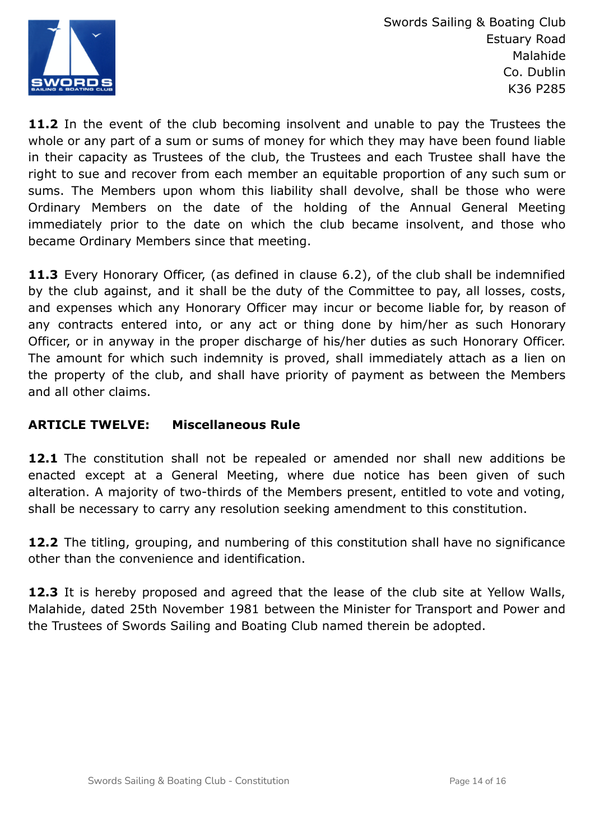

**11.2** In the event of the club becoming insolvent and unable to pay the Trustees the whole or any part of a sum or sums of money for which they may have been found liable in their capacity as Trustees of the club, the Trustees and each Trustee shall have the right to sue and recover from each member an equitable proportion of any such sum or sums. The Members upon whom this liability shall devolve, shall be those who were Ordinary Members on the date of the holding of the Annual General Meeting immediately prior to the date on which the club became insolvent, and those who became Ordinary Members since that meeting.

**11.3** Every Honorary Officer, (as defined in clause 6.2), of the club shall be indemnified by the club against, and it shall be the duty of the Committee to pay, all losses, costs, and expenses which any Honorary Officer may incur or become liable for, by reason of any contracts entered into, or any act or thing done by him/her as such Honorary Officer, or in anyway in the proper discharge of his/her duties as such Honorary Officer. The amount for which such indemnity is proved, shall immediately attach as a lien on the property of the club, and shall have priority of payment as between the Members and all other claims.

# **ARTICLE TWELVE: Miscellaneous Rule**

**12.1** The constitution shall not be repealed or amended nor shall new additions be enacted except at a General Meeting, where due notice has been given of such alteration. A majority of two-thirds of the Members present, entitled to vote and voting, shall be necessary to carry any resolution seeking amendment to this constitution.

**12.2** The titling, grouping, and numbering of this constitution shall have no significance other than the convenience and identification.

**12.3** It is hereby proposed and agreed that the lease of the club site at Yellow Walls, Malahide, dated 25th November 1981 between the Minister for Transport and Power and the Trustees of Swords Sailing and Boating Club named therein be adopted.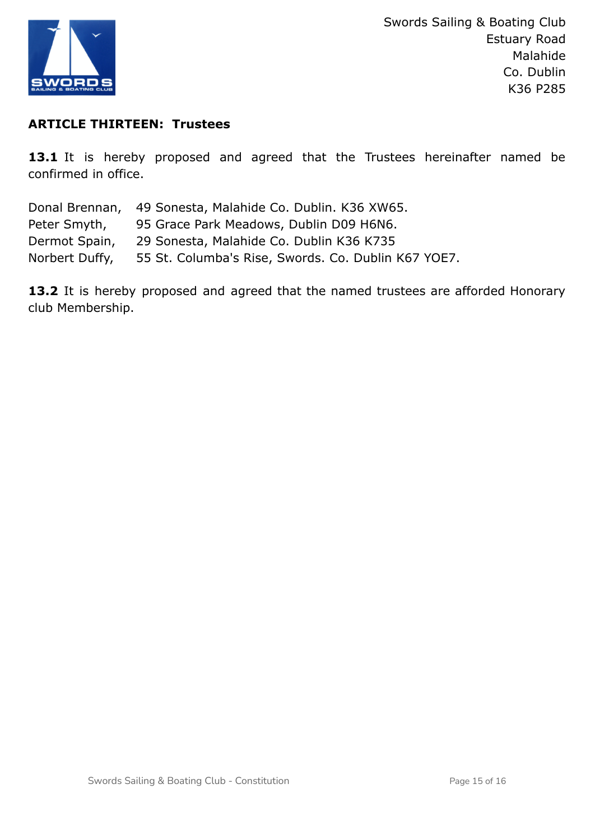

# **ARTICLE THIRTEEN: Trustees**

13.1 It is hereby proposed and agreed that the Trustees hereinafter named be confirmed in office.

|                | Donal Brennan, 49 Sonesta, Malahide Co. Dublin. K36 XW65. |
|----------------|-----------------------------------------------------------|
| Peter Smyth,   | 95 Grace Park Meadows, Dublin D09 H6N6.                   |
| Dermot Spain,  | 29 Sonesta, Malahide Co. Dublin K36 K735                  |
| Norbert Duffy, | 55 St. Columba's Rise, Swords. Co. Dublin K67 YOE7.       |

13.2 It is hereby proposed and agreed that the named trustees are afforded Honorary club Membership.